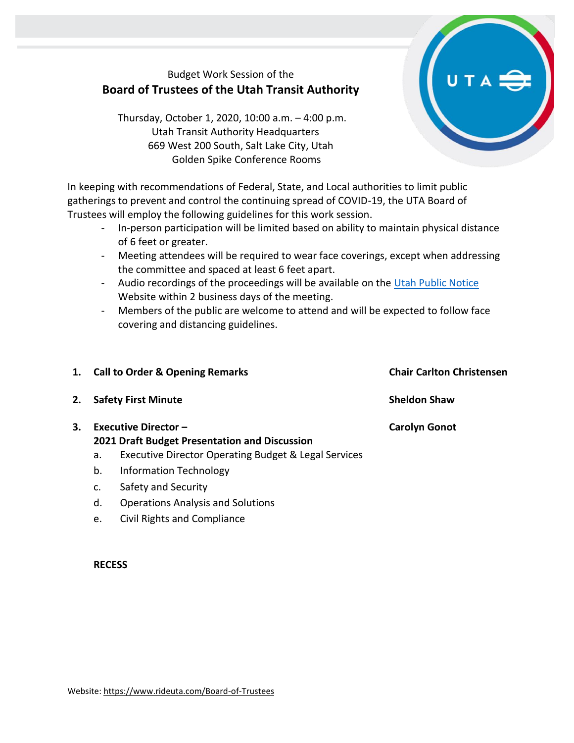## Budget Work Session of the **Board of Trustees of the Utah Transit Authority**

Thursday, October 1, 2020, 10:00 a.m. – 4:00 p.m. Utah Transit Authority Headquarters 669 West 200 South, Salt Lake City, Utah Golden Spike Conference Rooms

In keeping with recommendations of Federal, State, and Local authorities to limit public gatherings to prevent and control the continuing spread of COVID-19, the UTA Board of Trustees will employ the following guidelines for this work session.

- In-person participation will be limited based on ability to maintain physical distance of 6 feet or greater.
- Meeting attendees will be required to wear face coverings, except when addressing the committee and spaced at least 6 feet apart.
- Audio recordings of the proceedings will be available on the [Utah Public Notice](https://www.utah.gov/pmn/index.html) Website within 2 business days of the meeting.
- Members of the public are welcome to attend and will be expected to follow face covering and distancing guidelines.

| 1. | <b>Call to Order &amp; Opening Remarks</b> |                                                                              | <b>Chair Carlton Christensen</b> |
|----|--------------------------------------------|------------------------------------------------------------------------------|----------------------------------|
|    | 2. Safety First Minute                     |                                                                              | <b>Sheldon Shaw</b>              |
| 3. |                                            | <b>Executive Director -</b><br>2021 Draft Budget Presentation and Discussion | <b>Carolyn Gonot</b>             |
|    | а.                                         | <b>Executive Director Operating Budget &amp; Legal Services</b>              |                                  |
|    | b.                                         | <b>Information Technology</b>                                                |                                  |
|    | c.                                         | Safety and Security                                                          |                                  |

- d. Operations Analysis and Solutions
- e. Civil Rights and Compliance

## **RECESS**